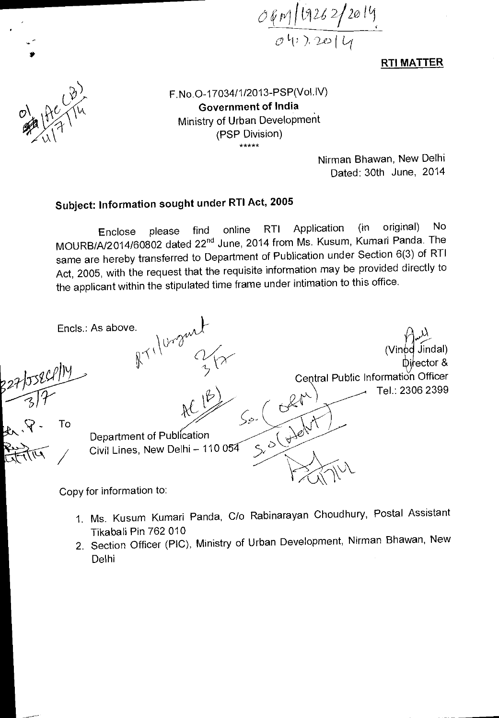61/11C121.; *2/20*   $0^{11}$ ,  $20|4$ 

**RTI MATTER** 



\*

F.No.0-17034/1/2013-PSP(VoLIV) **Government of India**  Ministry of Urban Development (PSP Division)

> Nirman Bhawan, New Delhi Dated: 30th June, 2014

## **Subject: Information sought under RTI Act, 2005**

Enclose please find online RTI Application (in original) No MOURB/A/2014/60802 dated 22<sup>nd</sup> June, 2014 from Ms. Kusum, Kumari Panda. The same are hereby transferred to Department of Publication under Section 6(3) of RTI Act, 2005, with the request that the requisite information may be provided directly to the applicant within the stipulated time frame under intimation to this office.



- 1. Ms. Kusum Kumari Panda, C/o Rabinarayan Choudhury, Postal Assistant Tikabali Pin 762 010
- 2. Section Officer (PIC), Ministry of Urban Development, Nirman Bhawan, New Delhi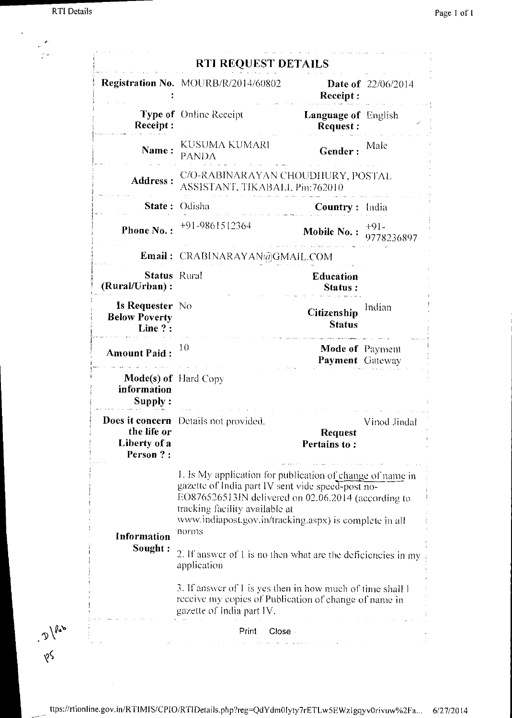$\cdot$ 

 $\mathcal{D}$ 

 $\sqrt{2}$ 

 $\overline{\phantom{a}}$ 

|                                                           | <b>Registration No.</b> MOURB/R/2014/60802                                                                                                                                                                                                                                 |                                                  |                           |
|-----------------------------------------------------------|----------------------------------------------------------------------------------------------------------------------------------------------------------------------------------------------------------------------------------------------------------------------------|--------------------------------------------------|---------------------------|
|                                                           |                                                                                                                                                                                                                                                                            | Receipt:                                         | <b>Date of</b> 22/06/2014 |
| Receipt:                                                  | <b>Type of</b> Online Receipt                                                                                                                                                                                                                                              | <b>Language of</b> English<br>Request:           |                           |
| Name:                                                     | KUSUMA KUMARI<br><b>PANDA</b>                                                                                                                                                                                                                                              | Gender:                                          | Male                      |
| Address:                                                  | C/O-RABINARAYAN CHOUDHURY, POSTAL<br>ASSISTANT, TIKABALI, Pin:762010                                                                                                                                                                                                       |                                                  |                           |
| State:                                                    | Odisha                                                                                                                                                                                                                                                                     | <b>Country:</b> India                            |                           |
| Phone No.:                                                | +91-9861512364                                                                                                                                                                                                                                                             | Mobile No.:                                      | $+9$ ] -<br>9778236897    |
|                                                           | Email: CRABINARAYAN@GMAIL.COM                                                                                                                                                                                                                                              |                                                  |                           |
| <b>Status</b> Rural<br>(Rural/Urban):                     |                                                                                                                                                                                                                                                                            | <b>Education</b><br>Status:                      |                           |
| <b>Is Requester</b> No<br><b>Below Poverty</b><br>Line ?: |                                                                                                                                                                                                                                                                            | Citizenship<br><b>Status</b>                     | Indian                    |
| <b>Amount Paid:</b>                                       | 10                                                                                                                                                                                                                                                                         | <b>Mode of Payment</b><br><b>Payment</b> Gateway |                           |
| <b>Mode(s) of</b> Hard Copy<br>information<br>Supply:     |                                                                                                                                                                                                                                                                            |                                                  |                           |
| the life or<br>Liberty of a<br>Person ?:                  | Does it concern Details not provided.                                                                                                                                                                                                                                      | <b>Request</b><br>Pertains to:                   | Vinod Jindal              |
| Information<br>Sought:                                    | I. Is My application for publication of change of name in<br>gazette of India part IV sent vide speed-post no-<br>EO876526513IN delivered on 02.06.2014 (according to<br>tracking facility available at<br>www.indiapost.gov.in/tracking.aspx) is complete in all<br>norms |                                                  |                           |
|                                                           | 2. If answer of 1 is no then what are the deficiencies in my<br>application                                                                                                                                                                                                |                                                  |                           |
|                                                           | 3. If answer of 1 is yes then in how much of time shall 1<br>receive my copies of Publication of change of name in<br>gazette of India part IV.                                                                                                                            |                                                  |                           |
|                                                           | Print<br>Close -                                                                                                                                                                                                                                                           |                                                  |                           |